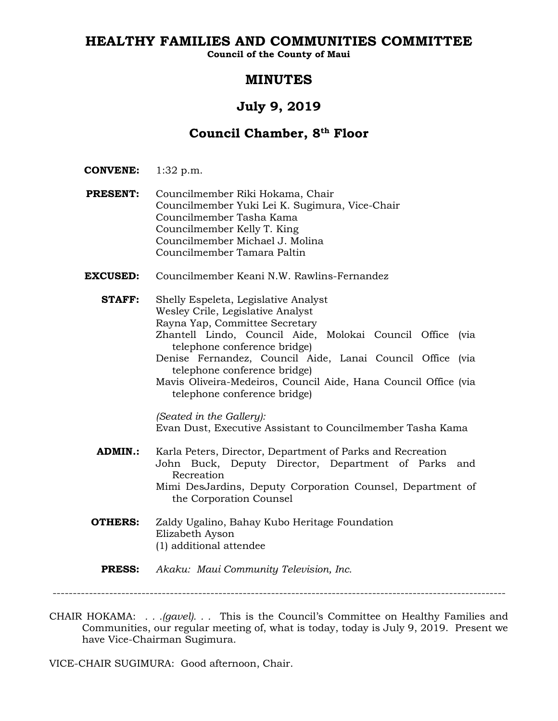# **HEALTHY FAMILIES AND COMMUNITIES COMMITTEE**

**Council of the County of Maui**

# **MINUTES**

# **July 9, 2019**

# **Council Chamber, 8th Floor**

- **CONVENE:** 1:32 p.m.
- **PRESENT:** Councilmember Riki Hokama, Chair Councilmember Yuki Lei K. Sugimura, Vice-Chair Councilmember Tasha Kama Councilmember Kelly T. King Councilmember Michael J. Molina Councilmember Tamara Paltin
- **EXCUSED:** Councilmember Keani N.W. Rawlins-Fernandez
	- **STAFF:** Shelly Espeleta, Legislative Analyst Wesley Crile, Legislative Analyst Rayna Yap, Committee Secretary Zhantell Lindo, Council Aide, Molokai Council Office (via telephone conference bridge) Denise Fernandez, Council Aide, Lanai Council Office (via telephone conference bridge) Mavis Oliveira-Medeiros, Council Aide, Hana Council Office (via telephone conference bridge) *(Seated in the Gallery):* Evan Dust, Executive Assistant to Councilmember Tasha Kama **ADMIN.:** Karla Peters, Director, Department of Parks and Recreation John Buck, Deputy Director, Department of Parks and Recreation Mimi DesJardins, Deputy Corporation Counsel, Department of the Corporation Counsel **OTHERS:** Zaldy Ugalino, Bahay Kubo Heritage Foundation
		- Elizabeth Ayson (1) additional attendee

**PRESS:** *Akaku: Maui Community Television, Inc.*

CHAIR HOKAMA: *. . .(gavel). . .* This is the Council's Committee on Healthy Families and Communities, our regular meeting of, what is today, today is July 9, 2019. Present we have Vice-Chairman Sugimura.

VICE-CHAIR SUGIMURA: Good afternoon, Chair.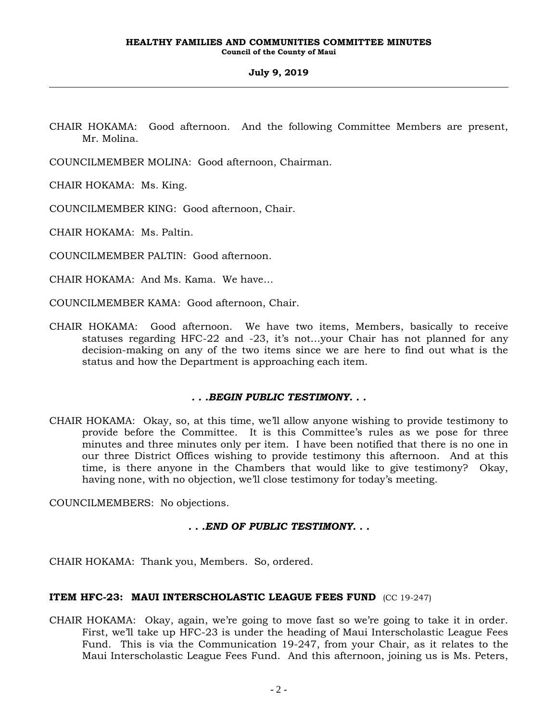CHAIR HOKAMA: Good afternoon. And the following Committee Members are present, Mr. Molina.

COUNCILMEMBER MOLINA: Good afternoon, Chairman.

CHAIR HOKAMA: Ms. King.

COUNCILMEMBER KING: Good afternoon, Chair.

CHAIR HOKAMA: Ms. Paltin.

COUNCILMEMBER PALTIN: Good afternoon.

CHAIR HOKAMA: And Ms. Kama. We have…

- COUNCILMEMBER KAMA: Good afternoon, Chair.
- CHAIR HOKAMA: Good afternoon. We have two items, Members, basically to receive statuses regarding HFC-22 and -23, it's not…your Chair has not planned for any decision-making on any of the two items since we are here to find out what is the status and how the Department is approaching each item.

# *. . .BEGIN PUBLIC TESTIMONY. . .*

CHAIR HOKAMA: Okay, so, at this time, we'll allow anyone wishing to provide testimony to provide before the Committee. It is this Committee's rules as we pose for three minutes and three minutes only per item. I have been notified that there is no one in our three District Offices wishing to provide testimony this afternoon. And at this time, is there anyone in the Chambers that would like to give testimony? Okay, having none, with no objection, we'll close testimony for today's meeting.

COUNCILMEMBERS: No objections.

# *. . .END OF PUBLIC TESTIMONY. . .*

CHAIR HOKAMA: Thank you, Members. So, ordered.

# **ITEM HFC-23: MAUI INTERSCHOLASTIC LEAGUE FEES FUND** (CC 19-247)

CHAIR HOKAMA: Okay, again, we're going to move fast so we're going to take it in order. First, we'll take up HFC-23 is under the heading of Maui Interscholastic League Fees Fund. This is via the Communication 19-247, from your Chair, as it relates to the Maui Interscholastic League Fees Fund. And this afternoon, joining us is Ms. Peters,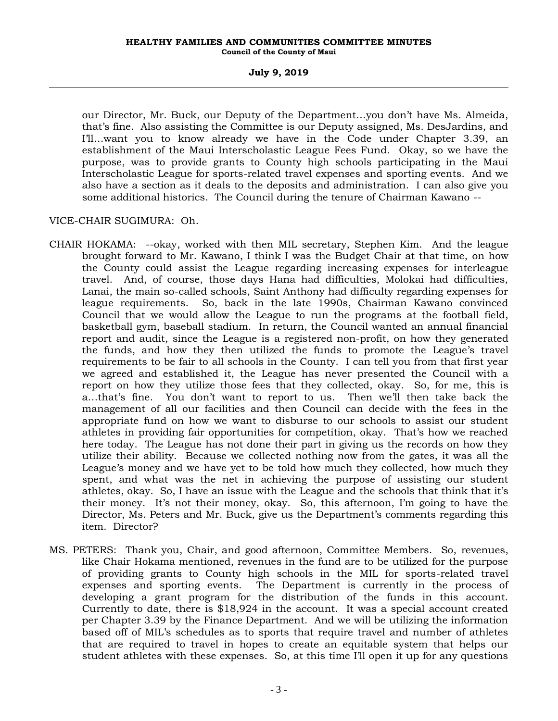our Director, Mr. Buck, our Deputy of the Department…you don't have Ms. Almeida, that's fine. Also assisting the Committee is our Deputy assigned, Ms. DesJardins, and I'll…want you to know already we have in the Code under Chapter 3.39, an establishment of the Maui Interscholastic League Fees Fund. Okay, so we have the purpose, was to provide grants to County high schools participating in the Maui Interscholastic League for sports-related travel expenses and sporting events. And we also have a section as it deals to the deposits and administration. I can also give you some additional historics. The Council during the tenure of Chairman Kawano --

# VICE-CHAIR SUGIMURA: Oh.

- CHAIR HOKAMA: --okay, worked with then MIL secretary, Stephen Kim. And the league brought forward to Mr. Kawano, I think I was the Budget Chair at that time, on how the County could assist the League regarding increasing expenses for interleague travel. And, of course, those days Hana had difficulties, Molokai had difficulties, Lanai, the main so-called schools, Saint Anthony had difficulty regarding expenses for league requirements. So, back in the late 1990s, Chairman Kawano convinced Council that we would allow the League to run the programs at the football field, basketball gym, baseball stadium. In return, the Council wanted an annual financial report and audit, since the League is a registered non-profit, on how they generated the funds, and how they then utilized the funds to promote the League's travel requirements to be fair to all schools in the County. I can tell you from that first year we agreed and established it, the League has never presented the Council with a report on how they utilize those fees that they collected, okay. So, for me, this is a…that's fine. You don't want to report to us. Then we'll then take back the management of all our facilities and then Council can decide with the fees in the appropriate fund on how we want to disburse to our schools to assist our student athletes in providing fair opportunities for competition, okay. That's how we reached here today. The League has not done their part in giving us the records on how they utilize their ability. Because we collected nothing now from the gates, it was all the League's money and we have yet to be told how much they collected, how much they spent, and what was the net in achieving the purpose of assisting our student athletes, okay. So, I have an issue with the League and the schools that think that it's their money. It's not their money, okay. So, this afternoon, I'm going to have the Director, Ms. Peters and Mr. Buck, give us the Department's comments regarding this item. Director?
- MS. PETERS: Thank you, Chair, and good afternoon, Committee Members. So, revenues, like Chair Hokama mentioned, revenues in the fund are to be utilized for the purpose of providing grants to County high schools in the MIL for sports-related travel expenses and sporting events. The Department is currently in the process of developing a grant program for the distribution of the funds in this account. Currently to date, there is \$18,924 in the account. It was a special account created per Chapter 3.39 by the Finance Department. And we will be utilizing the information based off of MIL's schedules as to sports that require travel and number of athletes that are required to travel in hopes to create an equitable system that helps our student athletes with these expenses. So, at this time I'll open it up for any questions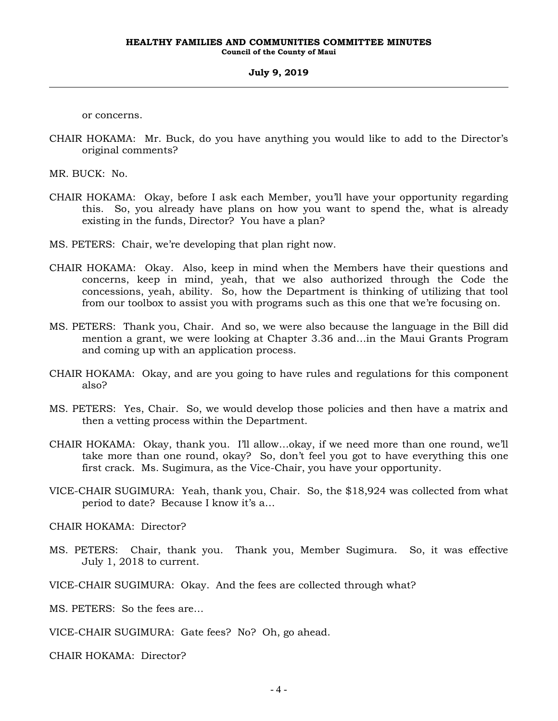or concerns.

CHAIR HOKAMA: Mr. Buck, do you have anything you would like to add to the Director's original comments?

MR. BUCK: No.

- CHAIR HOKAMA: Okay, before I ask each Member, you'll have your opportunity regarding this. So, you already have plans on how you want to spend the, what is already existing in the funds, Director? You have a plan?
- MS. PETERS: Chair, we're developing that plan right now.
- CHAIR HOKAMA: Okay. Also, keep in mind when the Members have their questions and concerns, keep in mind, yeah, that we also authorized through the Code the concessions, yeah, ability. So, how the Department is thinking of utilizing that tool from our toolbox to assist you with programs such as this one that we're focusing on.
- MS. PETERS: Thank you, Chair. And so, we were also because the language in the Bill did mention a grant, we were looking at Chapter 3.36 and…in the Maui Grants Program and coming up with an application process.
- CHAIR HOKAMA: Okay, and are you going to have rules and regulations for this component also?
- MS. PETERS: Yes, Chair. So, we would develop those policies and then have a matrix and then a vetting process within the Department.
- CHAIR HOKAMA: Okay, thank you. I'll allow…okay, if we need more than one round, we'll take more than one round, okay? So, don't feel you got to have everything this one first crack. Ms. Sugimura, as the Vice-Chair, you have your opportunity.
- VICE-CHAIR SUGIMURA: Yeah, thank you, Chair. So, the \$18,924 was collected from what period to date? Because I know it's a…

CHAIR HOKAMA: Director?

- MS. PETERS: Chair, thank you. Thank you, Member Sugimura. So, it was effective July 1, 2018 to current.
- VICE-CHAIR SUGIMURA: Okay. And the fees are collected through what?

MS. PETERS: So the fees are…

VICE-CHAIR SUGIMURA: Gate fees? No? Oh, go ahead.

CHAIR HOKAMA: Director?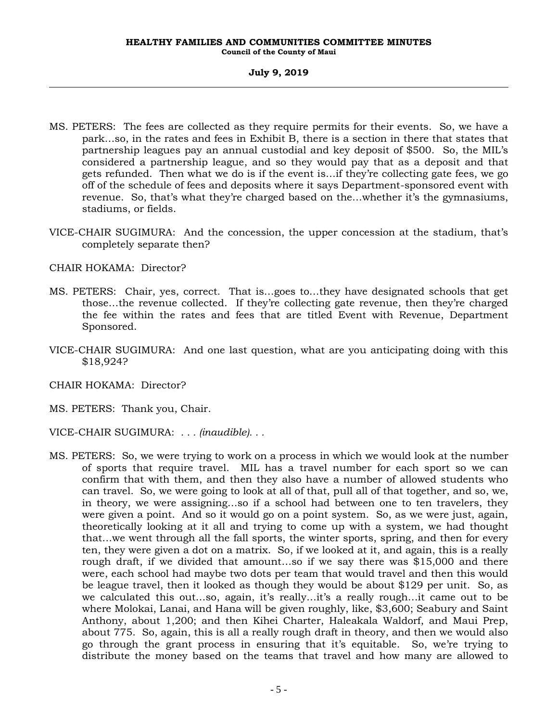- MS. PETERS: The fees are collected as they require permits for their events. So, we have a park…so, in the rates and fees in Exhibit B, there is a section in there that states that partnership leagues pay an annual custodial and key deposit of \$500. So, the MIL's considered a partnership league, and so they would pay that as a deposit and that gets refunded. Then what we do is if the event is…if they're collecting gate fees, we go off of the schedule of fees and deposits where it says Department-sponsored event with revenue. So, that's what they're charged based on the…whether it's the gymnasiums, stadiums, or fields.
- VICE-CHAIR SUGIMURA: And the concession, the upper concession at the stadium, that's completely separate then?

CHAIR HOKAMA: Director?

- MS. PETERS: Chair, yes, correct. That is…goes to…they have designated schools that get those…the revenue collected. If they're collecting gate revenue, then they're charged the fee within the rates and fees that are titled Event with Revenue, Department Sponsored.
- VICE-CHAIR SUGIMURA: And one last question, what are you anticipating doing with this \$18,924?
- CHAIR HOKAMA: Director?
- MS. PETERS: Thank you, Chair.
- VICE-CHAIR SUGIMURA: *. . . (inaudible). . .*
- MS. PETERS: So, we were trying to work on a process in which we would look at the number of sports that require travel. MIL has a travel number for each sport so we can confirm that with them, and then they also have a number of allowed students who can travel. So, we were going to look at all of that, pull all of that together, and so, we, in theory, we were assigning…so if a school had between one to ten travelers, they were given a point. And so it would go on a point system. So, as we were just, again, theoretically looking at it all and trying to come up with a system, we had thought that…we went through all the fall sports, the winter sports, spring, and then for every ten, they were given a dot on a matrix. So, if we looked at it, and again, this is a really rough draft, if we divided that amount…so if we say there was \$15,000 and there were, each school had maybe two dots per team that would travel and then this would be league travel, then it looked as though they would be about \$129 per unit. So, as we calculated this out…so, again, it's really…it's a really rough…it came out to be where Molokai, Lanai, and Hana will be given roughly, like, \$3,600; Seabury and Saint Anthony, about 1,200; and then Kihei Charter, Haleakala Waldorf, and Maui Prep, about 775. So, again, this is all a really rough draft in theory, and then we would also go through the grant process in ensuring that it's equitable. So, we're trying to distribute the money based on the teams that travel and how many are allowed to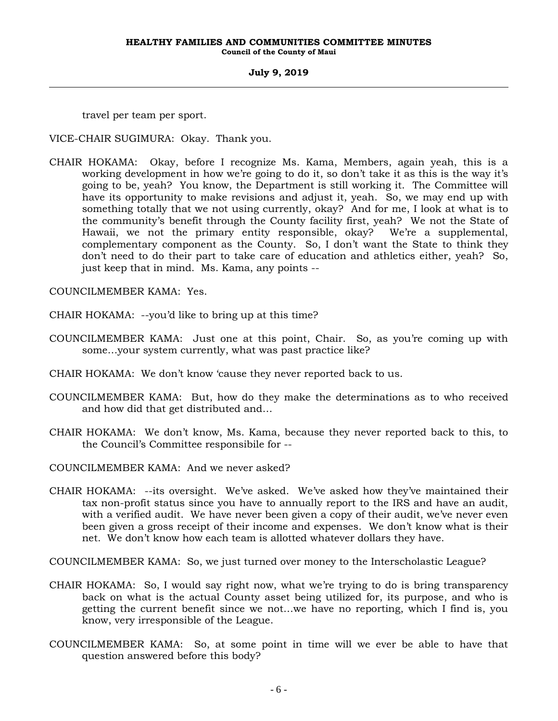travel per team per sport.

VICE-CHAIR SUGIMURA: Okay. Thank you.

CHAIR HOKAMA: Okay, before I recognize Ms. Kama, Members, again yeah, this is a working development in how we're going to do it, so don't take it as this is the way it's going to be, yeah? You know, the Department is still working it. The Committee will have its opportunity to make revisions and adjust it, yeah. So, we may end up with something totally that we not using currently, okay? And for me, I look at what is to the community's benefit through the County facility first, yeah? We not the State of Hawaii, we not the primary entity responsible, okay? We're a supplemental, complementary component as the County. So, I don't want the State to think they don't need to do their part to take care of education and athletics either, yeah? So, just keep that in mind. Ms. Kama, any points --

COUNCILMEMBER KAMA: Yes.

CHAIR HOKAMA: --you'd like to bring up at this time?

- COUNCILMEMBER KAMA: Just one at this point, Chair. So, as you're coming up with some…your system currently, what was past practice like?
- CHAIR HOKAMA: We don't know 'cause they never reported back to us.
- COUNCILMEMBER KAMA: But, how do they make the determinations as to who received and how did that get distributed and…
- CHAIR HOKAMA: We don't know, Ms. Kama, because they never reported back to this, to the Council's Committee responsibile for --
- COUNCILMEMBER KAMA: And we never asked?
- CHAIR HOKAMA: --its oversight. We've asked. We've asked how they've maintained their tax non-profit status since you have to annually report to the IRS and have an audit, with a verified audit. We have never been given a copy of their audit, we've never even been given a gross receipt of their income and expenses. We don't know what is their net. We don't know how each team is allotted whatever dollars they have.

COUNCILMEMBER KAMA: So, we just turned over money to the Interscholastic League?

- CHAIR HOKAMA: So, I would say right now, what we're trying to do is bring transparency back on what is the actual County asset being utilized for, its purpose, and who is getting the current benefit since we not…we have no reporting, which I find is, you know, very irresponsible of the League.
- COUNCILMEMBER KAMA: So, at some point in time will we ever be able to have that question answered before this body?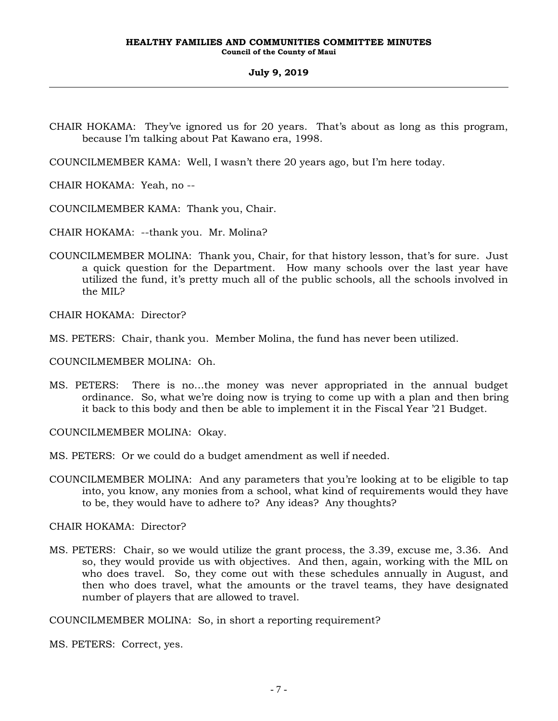- CHAIR HOKAMA: They've ignored us for 20 years. That's about as long as this program, because I'm talking about Pat Kawano era, 1998.
- COUNCILMEMBER KAMA: Well, I wasn't there 20 years ago, but I'm here today.
- CHAIR HOKAMA: Yeah, no --
- COUNCILMEMBER KAMA: Thank you, Chair.
- CHAIR HOKAMA: --thank you. Mr. Molina?
- COUNCILMEMBER MOLINA: Thank you, Chair, for that history lesson, that's for sure. Just a quick question for the Department. How many schools over the last year have utilized the fund, it's pretty much all of the public schools, all the schools involved in the MIL?

CHAIR HOKAMA: Director?

MS. PETERS: Chair, thank you. Member Molina, the fund has never been utilized.

COUNCILMEMBER MOLINA: Oh.

MS. PETERS: There is no…the money was never appropriated in the annual budget ordinance. So, what we're doing now is trying to come up with a plan and then bring it back to this body and then be able to implement it in the Fiscal Year '21 Budget.

COUNCILMEMBER MOLINA: Okay.

- MS. PETERS: Or we could do a budget amendment as well if needed.
- COUNCILMEMBER MOLINA: And any parameters that you're looking at to be eligible to tap into, you know, any monies from a school, what kind of requirements would they have to be, they would have to adhere to? Any ideas? Any thoughts?

CHAIR HOKAMA: Director?

MS. PETERS: Chair, so we would utilize the grant process, the 3.39, excuse me, 3.36. And so, they would provide us with objectives. And then, again, working with the MIL on who does travel. So, they come out with these schedules annually in August, and then who does travel, what the amounts or the travel teams, they have designated number of players that are allowed to travel.

COUNCILMEMBER MOLINA: So, in short a reporting requirement?

MS. PETERS: Correct, yes.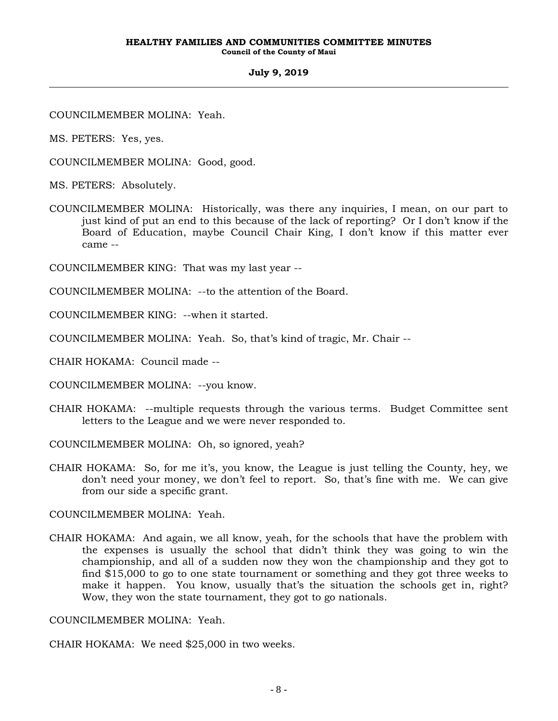COUNCILMEMBER MOLINA: Yeah.

MS. PETERS: Yes, yes.

COUNCILMEMBER MOLINA: Good, good.

MS. PETERS: Absolutely.

COUNCILMEMBER MOLINA: Historically, was there any inquiries, I mean, on our part to just kind of put an end to this because of the lack of reporting? Or I don't know if the Board of Education, maybe Council Chair King, I don't know if this matter ever came --

COUNCILMEMBER KING: That was my last year --

COUNCILMEMBER MOLINA: --to the attention of the Board.

COUNCILMEMBER KING: --when it started.

COUNCILMEMBER MOLINA: Yeah. So, that's kind of tragic, Mr. Chair --

CHAIR HOKAMA: Council made --

COUNCILMEMBER MOLINA: --you know.

CHAIR HOKAMA: --multiple requests through the various terms. Budget Committee sent letters to the League and we were never responded to.

COUNCILMEMBER MOLINA: Oh, so ignored, yeah?

CHAIR HOKAMA: So, for me it's, you know, the League is just telling the County, hey, we don't need your money, we don't feel to report. So, that's fine with me. We can give from our side a specific grant.

COUNCILMEMBER MOLINA: Yeah.

CHAIR HOKAMA: And again, we all know, yeah, for the schools that have the problem with the expenses is usually the school that didn't think they was going to win the championship, and all of a sudden now they won the championship and they got to find \$15,000 to go to one state tournament or something and they got three weeks to make it happen. You know, usually that's the situation the schools get in, right? Wow, they won the state tournament, they got to go nationals.

COUNCILMEMBER MOLINA: Yeah.

CHAIR HOKAMA: We need \$25,000 in two weeks.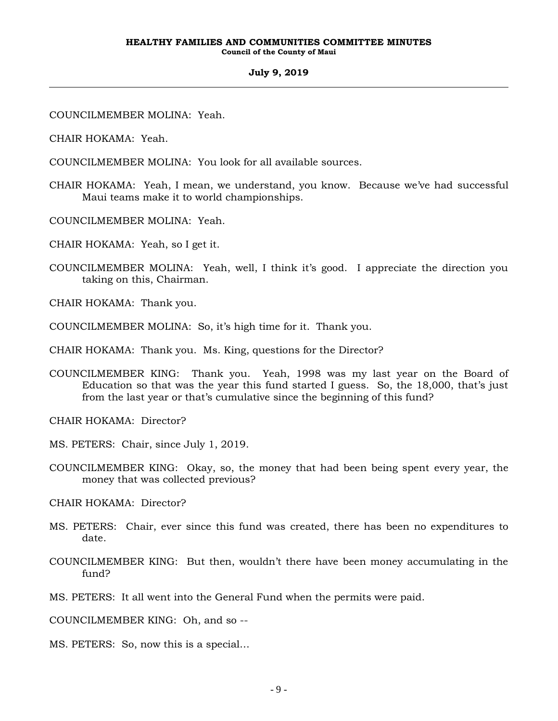COUNCILMEMBER MOLINA: Yeah.

CHAIR HOKAMA: Yeah.

COUNCILMEMBER MOLINA: You look for all available sources.

- CHAIR HOKAMA: Yeah, I mean, we understand, you know. Because we've had successful Maui teams make it to world championships.
- COUNCILMEMBER MOLINA: Yeah.
- CHAIR HOKAMA: Yeah, so I get it.
- COUNCILMEMBER MOLINA: Yeah, well, I think it's good. I appreciate the direction you taking on this, Chairman.
- CHAIR HOKAMA: Thank you.
- COUNCILMEMBER MOLINA: So, it's high time for it. Thank you.

CHAIR HOKAMA: Thank you. Ms. King, questions for the Director?

COUNCILMEMBER KING: Thank you. Yeah, 1998 was my last year on the Board of Education so that was the year this fund started I guess. So, the 18,000, that's just from the last year or that's cumulative since the beginning of this fund?

CHAIR HOKAMA: Director?

- MS. PETERS: Chair, since July 1, 2019.
- COUNCILMEMBER KING: Okay, so, the money that had been being spent every year, the money that was collected previous?

CHAIR HOKAMA: Director?

- MS. PETERS: Chair, ever since this fund was created, there has been no expenditures to date.
- COUNCILMEMBER KING: But then, wouldn't there have been money accumulating in the fund?
- MS. PETERS: It all went into the General Fund when the permits were paid.

COUNCILMEMBER KING: Oh, and so --

MS. PETERS: So, now this is a special…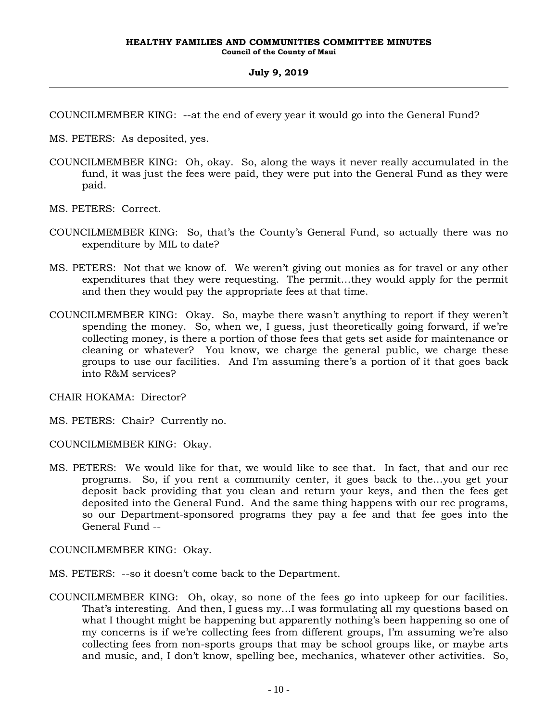COUNCILMEMBER KING: --at the end of every year it would go into the General Fund?

MS. PETERS: As deposited, yes.

- COUNCILMEMBER KING: Oh, okay. So, along the ways it never really accumulated in the fund, it was just the fees were paid, they were put into the General Fund as they were paid.
- MS. PETERS: Correct.
- COUNCILMEMBER KING: So, that's the County's General Fund, so actually there was no expenditure by MIL to date?
- MS. PETERS: Not that we know of. We weren't giving out monies as for travel or any other expenditures that they were requesting. The permit…they would apply for the permit and then they would pay the appropriate fees at that time.
- COUNCILMEMBER KING: Okay. So, maybe there wasn't anything to report if they weren't spending the money. So, when we, I guess, just theoretically going forward, if we're collecting money, is there a portion of those fees that gets set aside for maintenance or cleaning or whatever? You know, we charge the general public, we charge these groups to use our facilities. And I'm assuming there's a portion of it that goes back into R&M services?

CHAIR HOKAMA: Director?

MS. PETERS: Chair? Currently no.

COUNCILMEMBER KING: Okay.

MS. PETERS: We would like for that, we would like to see that. In fact, that and our rec programs. So, if you rent a community center, it goes back to the…you get your deposit back providing that you clean and return your keys, and then the fees get deposited into the General Fund. And the same thing happens with our rec programs, so our Department-sponsored programs they pay a fee and that fee goes into the General Fund --

COUNCILMEMBER KING: Okay.

- MS. PETERS: --so it doesn't come back to the Department.
- COUNCILMEMBER KING: Oh, okay, so none of the fees go into upkeep for our facilities. That's interesting. And then, I guess my…I was formulating all my questions based on what I thought might be happening but apparently nothing's been happening so one of my concerns is if we're collecting fees from different groups, I'm assuming we're also collecting fees from non-sports groups that may be school groups like, or maybe arts and music, and, I don't know, spelling bee, mechanics, whatever other activities. So,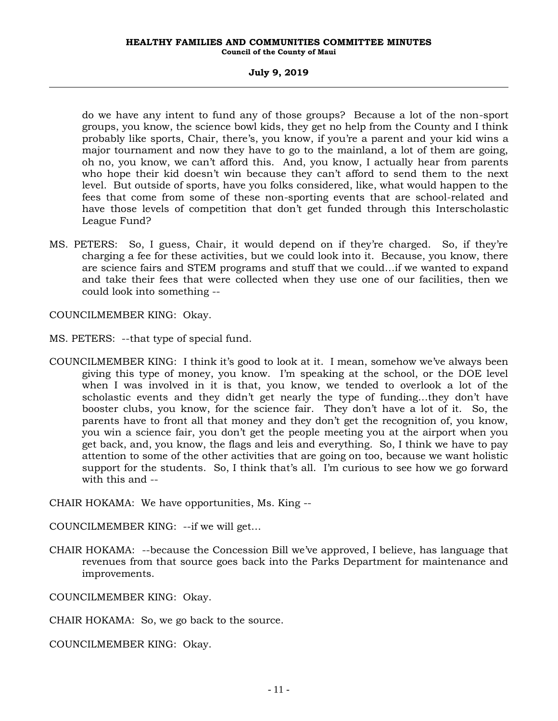#### **HEALTHY FAMILIES AND COMMUNITIES COMMITTEE MINUTES Council of the County of Maui**

#### **July 9, 2019**

do we have any intent to fund any of those groups? Because a lot of the non-sport groups, you know, the science bowl kids, they get no help from the County and I think probably like sports, Chair, there's, you know, if you're a parent and your kid wins a major tournament and now they have to go to the mainland, a lot of them are going, oh no, you know, we can't afford this. And, you know, I actually hear from parents who hope their kid doesn't win because they can't afford to send them to the next level. But outside of sports, have you folks considered, like, what would happen to the fees that come from some of these non-sporting events that are school-related and have those levels of competition that don't get funded through this Interscholastic League Fund?

MS. PETERS: So, I guess, Chair, it would depend on if they're charged. So, if they're charging a fee for these activities, but we could look into it. Because, you know, there are science fairs and STEM programs and stuff that we could…if we wanted to expand and take their fees that were collected when they use one of our facilities, then we could look into something --

COUNCILMEMBER KING: Okay.

- MS. PETERS: --that type of special fund.
- COUNCILMEMBER KING: I think it's good to look at it. I mean, somehow we've always been giving this type of money, you know. I'm speaking at the school, or the DOE level when I was involved in it is that, you know, we tended to overlook a lot of the scholastic events and they didn't get nearly the type of funding…they don't have booster clubs, you know, for the science fair. They don't have a lot of it. So, the parents have to front all that money and they don't get the recognition of, you know, you win a science fair, you don't get the people meeting you at the airport when you get back, and, you know, the flags and leis and everything. So, I think we have to pay attention to some of the other activities that are going on too, because we want holistic support for the students. So, I think that's all. I'm curious to see how we go forward with this and --

CHAIR HOKAMA: We have opportunities, Ms. King --

COUNCILMEMBER KING: --if we will get…

CHAIR HOKAMA: --because the Concession Bill we've approved, I believe, has language that revenues from that source goes back into the Parks Department for maintenance and improvements.

COUNCILMEMBER KING: Okay.

CHAIR HOKAMA: So, we go back to the source.

COUNCILMEMBER KING: Okay.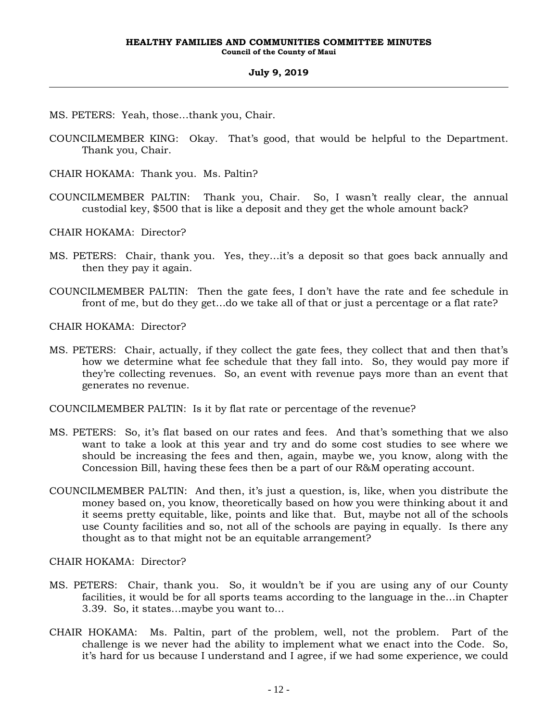- MS. PETERS: Yeah, those…thank you, Chair.
- COUNCILMEMBER KING: Okay. That's good, that would be helpful to the Department. Thank you, Chair.
- CHAIR HOKAMA: Thank you. Ms. Paltin?
- COUNCILMEMBER PALTIN: Thank you, Chair. So, I wasn't really clear, the annual custodial key, \$500 that is like a deposit and they get the whole amount back?

CHAIR HOKAMA: Director?

- MS. PETERS: Chair, thank you. Yes, they…it's a deposit so that goes back annually and then they pay it again.
- COUNCILMEMBER PALTIN: Then the gate fees, I don't have the rate and fee schedule in front of me, but do they get…do we take all of that or just a percentage or a flat rate?

CHAIR HOKAMA: Director?

MS. PETERS: Chair, actually, if they collect the gate fees, they collect that and then that's how we determine what fee schedule that they fall into. So, they would pay more if they're collecting revenues. So, an event with revenue pays more than an event that generates no revenue.

COUNCILMEMBER PALTIN: Is it by flat rate or percentage of the revenue?

- MS. PETERS: So, it's flat based on our rates and fees. And that's something that we also want to take a look at this year and try and do some cost studies to see where we should be increasing the fees and then, again, maybe we, you know, along with the Concession Bill, having these fees then be a part of our R&M operating account.
- COUNCILMEMBER PALTIN: And then, it's just a question, is, like, when you distribute the money based on, you know, theoretically based on how you were thinking about it and it seems pretty equitable, like, points and like that. But, maybe not all of the schools use County facilities and so, not all of the schools are paying in equally. Is there any thought as to that might not be an equitable arrangement?

CHAIR HOKAMA: Director?

- MS. PETERS: Chair, thank you. So, it wouldn't be if you are using any of our County facilities, it would be for all sports teams according to the language in the…in Chapter 3.39. So, it states…maybe you want to…
- CHAIR HOKAMA: Ms. Paltin, part of the problem, well, not the problem. Part of the challenge is we never had the ability to implement what we enact into the Code. So, it's hard for us because I understand and I agree, if we had some experience, we could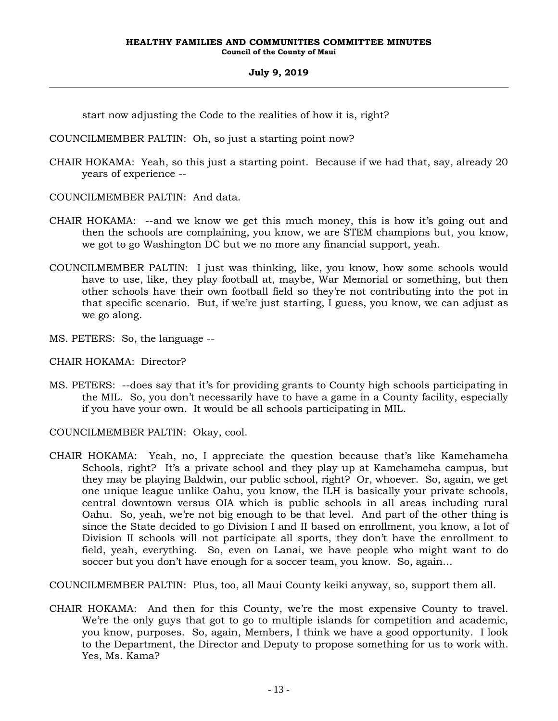start now adjusting the Code to the realities of how it is, right?

COUNCILMEMBER PALTIN: Oh, so just a starting point now?

- CHAIR HOKAMA: Yeah, so this just a starting point. Because if we had that, say, already 20 years of experience --
- COUNCILMEMBER PALTIN: And data.
- CHAIR HOKAMA: --and we know we get this much money, this is how it's going out and then the schools are complaining, you know, we are STEM champions but, you know, we got to go Washington DC but we no more any financial support, yeah.
- COUNCILMEMBER PALTIN: I just was thinking, like, you know, how some schools would have to use, like, they play football at, maybe, War Memorial or something, but then other schools have their own football field so they're not contributing into the pot in that specific scenario. But, if we're just starting, I guess, you know, we can adjust as we go along.
- MS. PETERS: So, the language --

CHAIR HOKAMA: Director?

MS. PETERS: --does say that it's for providing grants to County high schools participating in the MIL. So, you don't necessarily have to have a game in a County facility, especially if you have your own. It would be all schools participating in MIL.

COUNCILMEMBER PALTIN: Okay, cool.

CHAIR HOKAMA: Yeah, no, I appreciate the question because that's like Kamehameha Schools, right? It's a private school and they play up at Kamehameha campus, but they may be playing Baldwin, our public school, right? Or, whoever. So, again, we get one unique league unlike Oahu, you know, the ILH is basically your private schools, central downtown versus OIA which is public schools in all areas including rural Oahu. So, yeah, we're not big enough to be that level. And part of the other thing is since the State decided to go Division I and II based on enrollment, you know, a lot of Division II schools will not participate all sports, they don't have the enrollment to field, yeah, everything. So, even on Lanai, we have people who might want to do soccer but you don't have enough for a soccer team, you know. So, again…

COUNCILMEMBER PALTIN: Plus, too, all Maui County keiki anyway, so, support them all.

CHAIR HOKAMA: And then for this County, we're the most expensive County to travel. We're the only guys that got to go to multiple islands for competition and academic, you know, purposes. So, again, Members, I think we have a good opportunity. I look to the Department, the Director and Deputy to propose something for us to work with. Yes, Ms. Kama?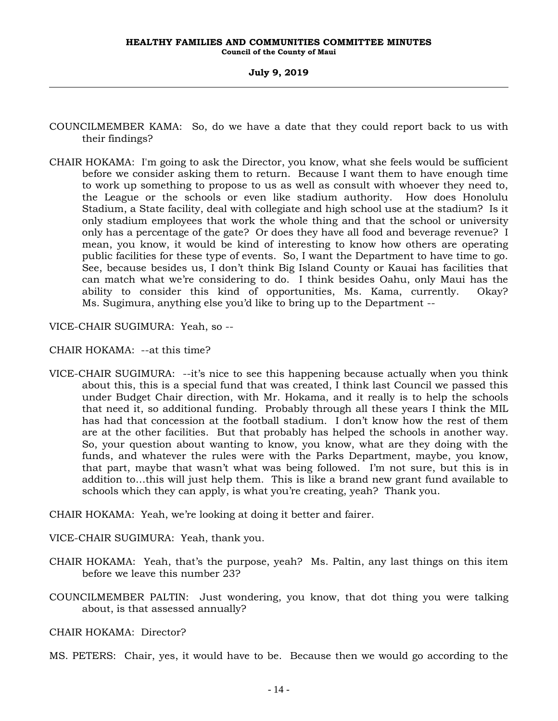- COUNCILMEMBER KAMA: So, do we have a date that they could report back to us with their findings?
- CHAIR HOKAMA: I'm going to ask the Director, you know, what she feels would be sufficient before we consider asking them to return. Because I want them to have enough time to work up something to propose to us as well as consult with whoever they need to, the League or the schools or even like stadium authority. How does Honolulu Stadium, a State facility, deal with collegiate and high school use at the stadium? Is it only stadium employees that work the whole thing and that the school or university only has a percentage of the gate? Or does they have all food and beverage revenue? I mean, you know, it would be kind of interesting to know how others are operating public facilities for these type of events. So, I want the Department to have time to go. See, because besides us, I don't think Big Island County or Kauai has facilities that can match what we're considering to do. I think besides Oahu, only Maui has the ability to consider this kind of opportunities, Ms. Kama, currently. Okay? Ms. Sugimura, anything else you'd like to bring up to the Department --

VICE-CHAIR SUGIMURA: Yeah, so --

CHAIR HOKAMA: --at this time?

VICE-CHAIR SUGIMURA: --it's nice to see this happening because actually when you think about this, this is a special fund that was created, I think last Council we passed this under Budget Chair direction, with Mr. Hokama, and it really is to help the schools that need it, so additional funding. Probably through all these years I think the MIL has had that concession at the football stadium. I don't know how the rest of them are at the other facilities. But that probably has helped the schools in another way. So, your question about wanting to know, you know, what are they doing with the funds, and whatever the rules were with the Parks Department, maybe, you know, that part, maybe that wasn't what was being followed. I'm not sure, but this is in addition to…this will just help them. This is like a brand new grant fund available to schools which they can apply, is what you're creating, yeah? Thank you.

CHAIR HOKAMA: Yeah, we're looking at doing it better and fairer.

VICE-CHAIR SUGIMURA: Yeah, thank you.

- CHAIR HOKAMA: Yeah, that's the purpose, yeah? Ms. Paltin, any last things on this item before we leave this number 23?
- COUNCILMEMBER PALTIN: Just wondering, you know, that dot thing you were talking about, is that assessed annually?

CHAIR HOKAMA: Director?

MS. PETERS: Chair, yes, it would have to be. Because then we would go according to the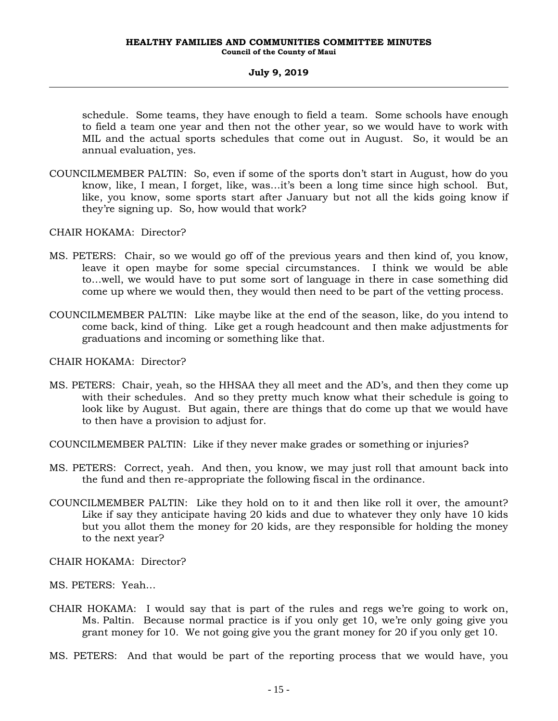schedule. Some teams, they have enough to field a team. Some schools have enough to field a team one year and then not the other year, so we would have to work with MIL and the actual sports schedules that come out in August. So, it would be an annual evaluation, yes.

COUNCILMEMBER PALTIN: So, even if some of the sports don't start in August, how do you know, like, I mean, I forget, like, was…it's been a long time since high school. But, like, you know, some sports start after January but not all the kids going know if they're signing up. So, how would that work?

CHAIR HOKAMA: Director?

- MS. PETERS: Chair, so we would go off of the previous years and then kind of, you know, leave it open maybe for some special circumstances. I think we would be able to…well, we would have to put some sort of language in there in case something did come up where we would then, they would then need to be part of the vetting process.
- COUNCILMEMBER PALTIN: Like maybe like at the end of the season, like, do you intend to come back, kind of thing. Like get a rough headcount and then make adjustments for graduations and incoming or something like that.

CHAIR HOKAMA: Director?

- MS. PETERS: Chair, yeah, so the HHSAA they all meet and the AD's, and then they come up with their schedules. And so they pretty much know what their schedule is going to look like by August. But again, there are things that do come up that we would have to then have a provision to adjust for.
- COUNCILMEMBER PALTIN: Like if they never make grades or something or injuries?
- MS. PETERS: Correct, yeah. And then, you know, we may just roll that amount back into the fund and then re-appropriate the following fiscal in the ordinance.
- COUNCILMEMBER PALTIN: Like they hold on to it and then like roll it over, the amount? Like if say they anticipate having 20 kids and due to whatever they only have 10 kids but you allot them the money for 20 kids, are they responsible for holding the money to the next year?
- CHAIR HOKAMA: Director?
- MS. PETERS: Yeah…
- CHAIR HOKAMA: I would say that is part of the rules and regs we're going to work on, Ms. Paltin. Because normal practice is if you only get 10, we're only going give you grant money for 10. We not going give you the grant money for 20 if you only get 10.
- MS. PETERS: And that would be part of the reporting process that we would have, you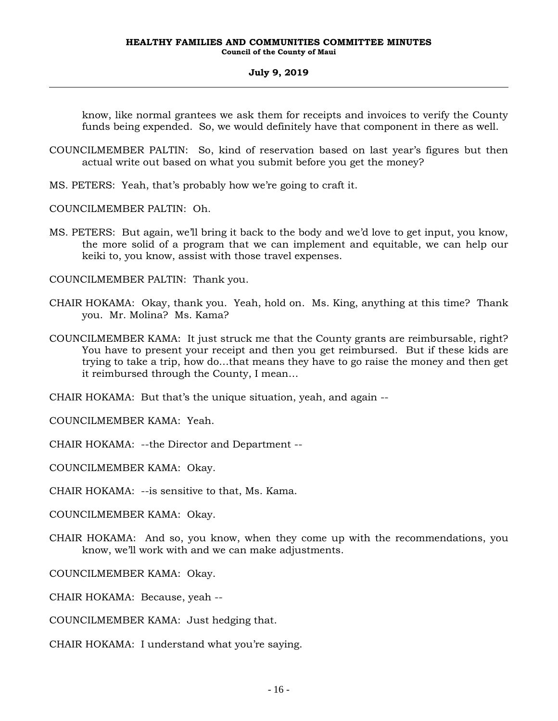know, like normal grantees we ask them for receipts and invoices to verify the County funds being expended. So, we would definitely have that component in there as well.

- COUNCILMEMBER PALTIN: So, kind of reservation based on last year's figures but then actual write out based on what you submit before you get the money?
- MS. PETERS: Yeah, that's probably how we're going to craft it.

COUNCILMEMBER PALTIN: Oh.

MS. PETERS: But again, we'll bring it back to the body and we'd love to get input, you know, the more solid of a program that we can implement and equitable, we can help our keiki to, you know, assist with those travel expenses.

COUNCILMEMBER PALTIN: Thank you.

- CHAIR HOKAMA: Okay, thank you. Yeah, hold on. Ms. King, anything at this time? Thank you. Mr. Molina? Ms. Kama?
- COUNCILMEMBER KAMA: It just struck me that the County grants are reimbursable, right? You have to present your receipt and then you get reimbursed. But if these kids are trying to take a trip, how do…that means they have to go raise the money and then get it reimbursed through the County, I mean…

CHAIR HOKAMA: But that's the unique situation, yeah, and again --

COUNCILMEMBER KAMA: Yeah.

CHAIR HOKAMA: --the Director and Department --

COUNCILMEMBER KAMA: Okay.

CHAIR HOKAMA: --is sensitive to that, Ms. Kama.

COUNCILMEMBER KAMA: Okay.

CHAIR HOKAMA: And so, you know, when they come up with the recommendations, you know, we'll work with and we can make adjustments.

COUNCILMEMBER KAMA: Okay.

CHAIR HOKAMA: Because, yeah --

COUNCILMEMBER KAMA: Just hedging that.

CHAIR HOKAMA: I understand what you're saying.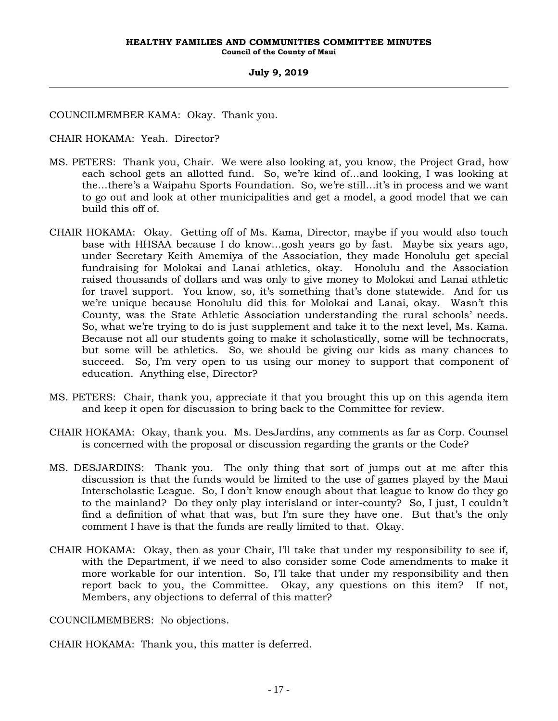COUNCILMEMBER KAMA: Okay. Thank you.

CHAIR HOKAMA: Yeah. Director?

- MS. PETERS: Thank you, Chair. We were also looking at, you know, the Project Grad, how each school gets an allotted fund. So, we're kind of…and looking, I was looking at the…there's a Waipahu Sports Foundation. So, we're still…it's in process and we want to go out and look at other municipalities and get a model, a good model that we can build this off of.
- CHAIR HOKAMA: Okay. Getting off of Ms. Kama, Director, maybe if you would also touch base with HHSAA because I do know…gosh years go by fast. Maybe six years ago, under Secretary Keith Amemiya of the Association, they made Honolulu get special fundraising for Molokai and Lanai athletics, okay. Honolulu and the Association raised thousands of dollars and was only to give money to Molokai and Lanai athletic for travel support. You know, so, it's something that's done statewide. And for us we're unique because Honolulu did this for Molokai and Lanai, okay. Wasn't this County, was the State Athletic Association understanding the rural schools' needs. So, what we're trying to do is just supplement and take it to the next level, Ms. Kama. Because not all our students going to make it scholastically, some will be technocrats, but some will be athletics. So, we should be giving our kids as many chances to succeed. So, I'm very open to us using our money to support that component of education. Anything else, Director?
- MS. PETERS: Chair, thank you, appreciate it that you brought this up on this agenda item and keep it open for discussion to bring back to the Committee for review.
- CHAIR HOKAMA: Okay, thank you. Ms. DesJardins, any comments as far as Corp. Counsel is concerned with the proposal or discussion regarding the grants or the Code?
- MS. DESJARDINS: Thank you. The only thing that sort of jumps out at me after this discussion is that the funds would be limited to the use of games played by the Maui Interscholastic League. So, I don't know enough about that league to know do they go to the mainland? Do they only play interisland or inter-county? So, I just, I couldn't find a definition of what that was, but I'm sure they have one. But that's the only comment I have is that the funds are really limited to that. Okay.
- CHAIR HOKAMA: Okay, then as your Chair, I'll take that under my responsibility to see if, with the Department, if we need to also consider some Code amendments to make it more workable for our intention. So, I'll take that under my responsibility and then report back to you, the Committee. Okay, any questions on this item? If not, Members, any objections to deferral of this matter?

COUNCILMEMBERS: No objections.

CHAIR HOKAMA: Thank you, this matter is deferred.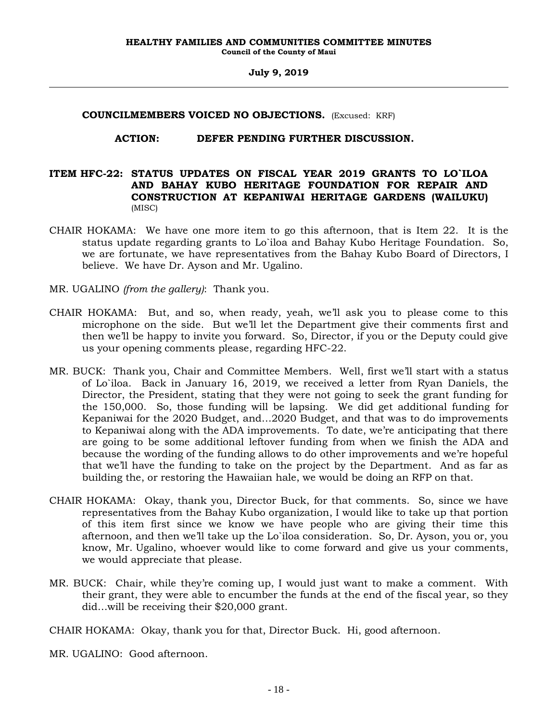#### **COUNCILMEMBERS VOICED NO OBJECTIONS.** (Excused: KRF)

#### **ACTION: DEFER PENDING FURTHER DISCUSSION.**

# **ITEM HFC-22: STATUS UPDATES ON FISCAL YEAR 2019 GRANTS TO LO`ILOA AND BAHAY KUBO HERITAGE FOUNDATION FOR REPAIR AND CONSTRUCTION AT KEPANIWAI HERITAGE GARDENS (WAILUKU)**  (MISC)

- CHAIR HOKAMA: We have one more item to go this afternoon, that is Item 22. It is the status update regarding grants to Lo`iloa and Bahay Kubo Heritage Foundation. So, we are fortunate, we have representatives from the Bahay Kubo Board of Directors, I believe. We have Dr. Ayson and Mr. Ugalino.
- MR. UGALINO *(from the gallery)*: Thank you.
- CHAIR HOKAMA: But, and so, when ready, yeah, we'll ask you to please come to this microphone on the side. But we'll let the Department give their comments first and then we'll be happy to invite you forward. So, Director, if you or the Deputy could give us your opening comments please, regarding HFC-22.
- MR. BUCK: Thank you, Chair and Committee Members. Well, first we'll start with a status of Lo`iloa. Back in January 16, 2019, we received a letter from Ryan Daniels, the Director, the President, stating that they were not going to seek the grant funding for the 150,000. So, those funding will be lapsing. We did get additional funding for Kepaniwai for the 2020 Budget, and…2020 Budget, and that was to do improvements to Kepaniwai along with the ADA improvements. To date, we're anticipating that there are going to be some additional leftover funding from when we finish the ADA and because the wording of the funding allows to do other improvements and we're hopeful that we'll have the funding to take on the project by the Department. And as far as building the, or restoring the Hawaiian hale, we would be doing an RFP on that.
- CHAIR HOKAMA: Okay, thank you, Director Buck, for that comments. So, since we have representatives from the Bahay Kubo organization, I would like to take up that portion of this item first since we know we have people who are giving their time this afternoon, and then we'll take up the Lo`iloa consideration. So, Dr. Ayson, you or, you know, Mr. Ugalino, whoever would like to come forward and give us your comments, we would appreciate that please.
- MR. BUCK: Chair, while they're coming up, I would just want to make a comment. With their grant, they were able to encumber the funds at the end of the fiscal year, so they did…will be receiving their \$20,000 grant.

CHAIR HOKAMA: Okay, thank you for that, Director Buck. Hi, good afternoon.

MR. UGALINO: Good afternoon.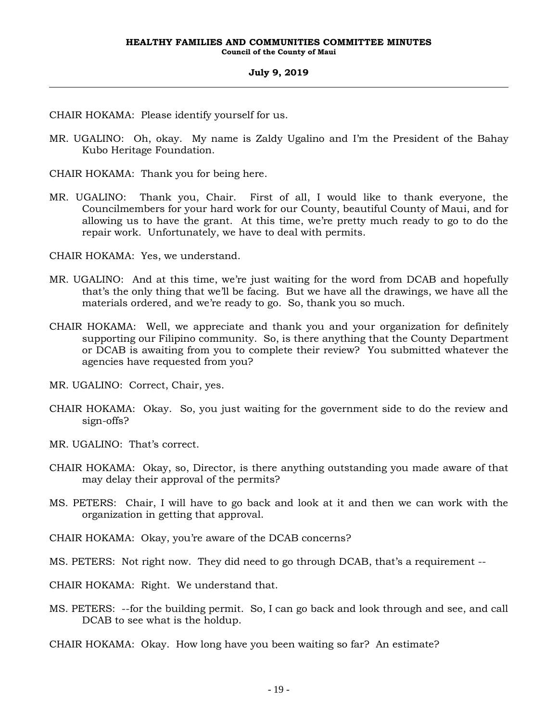CHAIR HOKAMA: Please identify yourself for us.

MR. UGALINO: Oh, okay. My name is Zaldy Ugalino and I'm the President of the Bahay Kubo Heritage Foundation.

CHAIR HOKAMA: Thank you for being here.

MR. UGALINO: Thank you, Chair. First of all, I would like to thank everyone, the Councilmembers for your hard work for our County, beautiful County of Maui, and for allowing us to have the grant. At this time, we're pretty much ready to go to do the repair work. Unfortunately, we have to deal with permits.

CHAIR HOKAMA: Yes, we understand.

- MR. UGALINO: And at this time, we're just waiting for the word from DCAB and hopefully that's the only thing that we'll be facing. But we have all the drawings, we have all the materials ordered, and we're ready to go. So, thank you so much.
- CHAIR HOKAMA: Well, we appreciate and thank you and your organization for definitely supporting our Filipino community. So, is there anything that the County Department or DCAB is awaiting from you to complete their review? You submitted whatever the agencies have requested from you?
- MR. UGALINO: Correct, Chair, yes.
- CHAIR HOKAMA: Okay. So, you just waiting for the government side to do the review and sign-offs?
- MR. UGALINO: That's correct.
- CHAIR HOKAMA: Okay, so, Director, is there anything outstanding you made aware of that may delay their approval of the permits?
- MS. PETERS: Chair, I will have to go back and look at it and then we can work with the organization in getting that approval.

CHAIR HOKAMA: Okay, you're aware of the DCAB concerns?

MS. PETERS: Not right now. They did need to go through DCAB, that's a requirement --

CHAIR HOKAMA: Right. We understand that.

MS. PETERS: --for the building permit. So, I can go back and look through and see, and call DCAB to see what is the holdup.

CHAIR HOKAMA: Okay. How long have you been waiting so far? An estimate?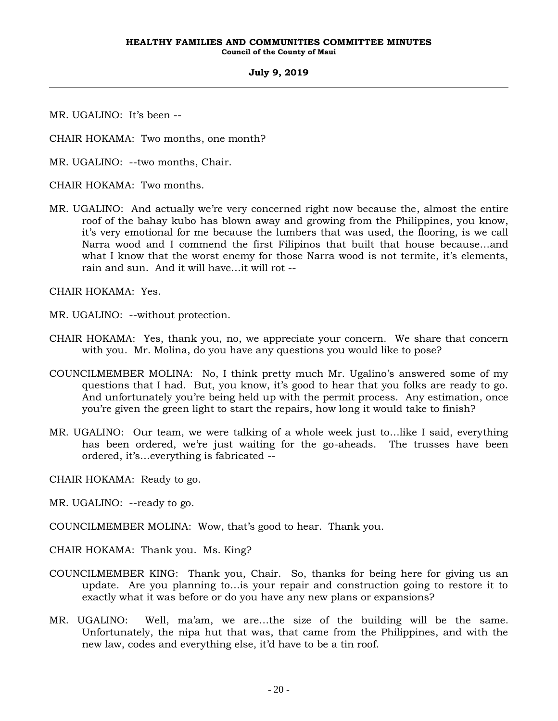MR. UGALINO: It's been --

CHAIR HOKAMA: Two months, one month?

MR. UGALINO: --two months, Chair.

CHAIR HOKAMA: Two months.

MR. UGALINO: And actually we're very concerned right now because the, almost the entire roof of the bahay kubo has blown away and growing from the Philippines, you know, it's very emotional for me because the lumbers that was used, the flooring, is we call Narra wood and I commend the first Filipinos that built that house because…and what I know that the worst enemy for those Narra wood is not termite, it's elements, rain and sun. And it will have…it will rot --

CHAIR HOKAMA: Yes.

MR. UGALINO: --without protection.

- CHAIR HOKAMA: Yes, thank you, no, we appreciate your concern. We share that concern with you. Mr. Molina, do you have any questions you would like to pose?
- COUNCILMEMBER MOLINA: No, I think pretty much Mr. Ugalino's answered some of my questions that I had. But, you know, it's good to hear that you folks are ready to go. And unfortunately you're being held up with the permit process. Any estimation, once you're given the green light to start the repairs, how long it would take to finish?
- MR. UGALINO: Our team, we were talking of a whole week just to…like I said, everything has been ordered, we're just waiting for the go-aheads. The trusses have been ordered, it's…everything is fabricated --
- CHAIR HOKAMA: Ready to go.
- MR. UGALINO: --ready to go.

COUNCILMEMBER MOLINA: Wow, that's good to hear. Thank you.

CHAIR HOKAMA: Thank you. Ms. King?

- COUNCILMEMBER KING: Thank you, Chair. So, thanks for being here for giving us an update. Are you planning to…is your repair and construction going to restore it to exactly what it was before or do you have any new plans or expansions?
- MR. UGALINO: Well, ma'am, we are…the size of the building will be the same. Unfortunately, the nipa hut that was, that came from the Philippines, and with the new law, codes and everything else, it'd have to be a tin roof.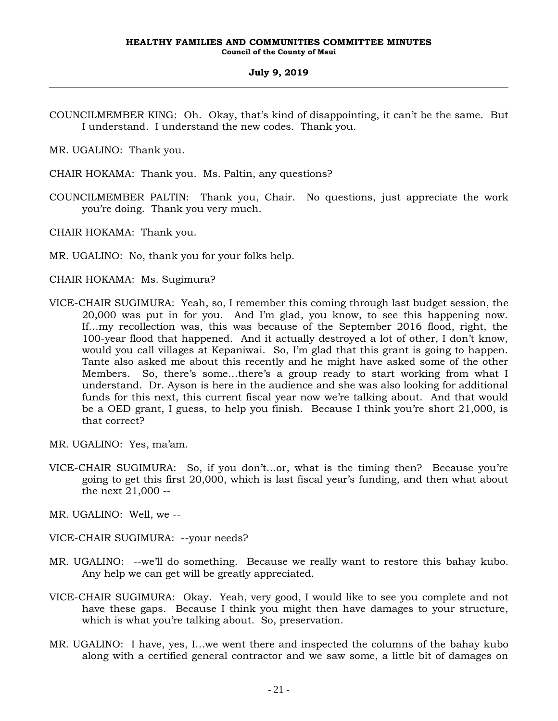COUNCILMEMBER KING: Oh. Okay, that's kind of disappointing, it can't be the same. But I understand. I understand the new codes. Thank you.

MR. UGALINO: Thank you.

- CHAIR HOKAMA: Thank you. Ms. Paltin, any questions?
- COUNCILMEMBER PALTIN: Thank you, Chair. No questions, just appreciate the work you're doing. Thank you very much.

CHAIR HOKAMA: Thank you.

MR. UGALINO: No, thank you for your folks help.

- CHAIR HOKAMA: Ms. Sugimura?
- VICE-CHAIR SUGIMURA: Yeah, so, I remember this coming through last budget session, the 20,000 was put in for you. And I'm glad, you know, to see this happening now. If…my recollection was, this was because of the September 2016 flood, right, the 100-year flood that happened. And it actually destroyed a lot of other, I don't know, would you call villages at Kepaniwai. So, I'm glad that this grant is going to happen. Tante also asked me about this recently and he might have asked some of the other Members. So, there's some…there's a group ready to start working from what I understand. Dr. Ayson is here in the audience and she was also looking for additional funds for this next, this current fiscal year now we're talking about. And that would be a OED grant, I guess, to help you finish. Because I think you're short 21,000, is that correct?
- MR. UGALINO: Yes, ma'am.
- VICE-CHAIR SUGIMURA: So, if you don't…or, what is the timing then? Because you're going to get this first 20,000, which is last fiscal year's funding, and then what about the next 21,000 --
- MR. UGALINO: Well, we --
- VICE-CHAIR SUGIMURA: --your needs?
- MR. UGALINO: --we'll do something. Because we really want to restore this bahay kubo. Any help we can get will be greatly appreciated.
- VICE-CHAIR SUGIMURA: Okay. Yeah, very good, I would like to see you complete and not have these gaps. Because I think you might then have damages to your structure, which is what you're talking about. So, preservation.
- MR. UGALINO: I have, yes, I…we went there and inspected the columns of the bahay kubo along with a certified general contractor and we saw some, a little bit of damages on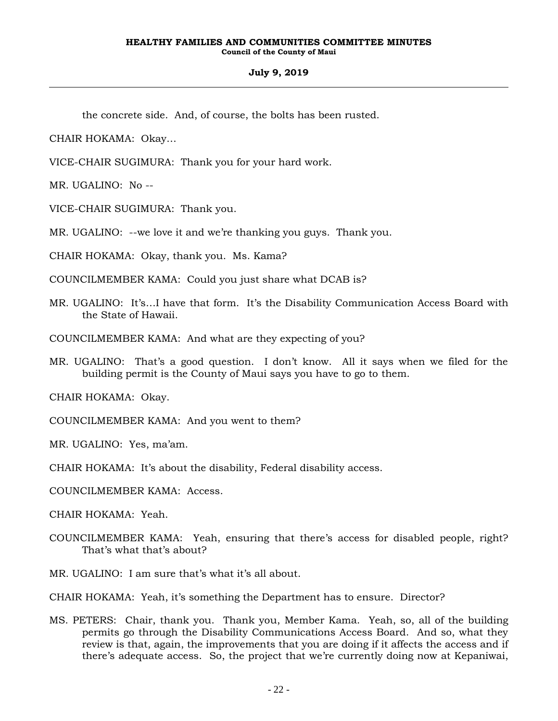the concrete side. And, of course, the bolts has been rusted.

CHAIR HOKAMA: Okay…

VICE-CHAIR SUGIMURA: Thank you for your hard work.

MR. UGALINO: No --

VICE-CHAIR SUGIMURA: Thank you.

MR. UGALINO: --we love it and we're thanking you guys. Thank you.

CHAIR HOKAMA: Okay, thank you. Ms. Kama?

COUNCILMEMBER KAMA: Could you just share what DCAB is?

MR. UGALINO: It's…I have that form. It's the Disability Communication Access Board with the State of Hawaii.

COUNCILMEMBER KAMA: And what are they expecting of you?

MR. UGALINO: That's a good question. I don't know. All it says when we filed for the building permit is the County of Maui says you have to go to them.

CHAIR HOKAMA: Okay.

COUNCILMEMBER KAMA: And you went to them?

MR. UGALINO: Yes, ma'am.

CHAIR HOKAMA: It's about the disability, Federal disability access.

COUNCILMEMBER KAMA: Access.

CHAIR HOKAMA: Yeah.

COUNCILMEMBER KAMA: Yeah, ensuring that there's access for disabled people, right? That's what that's about?

MR. UGALINO: I am sure that's what it's all about.

CHAIR HOKAMA: Yeah, it's something the Department has to ensure. Director?

MS. PETERS: Chair, thank you. Thank you, Member Kama. Yeah, so, all of the building permits go through the Disability Communications Access Board. And so, what they review is that, again, the improvements that you are doing if it affects the access and if there's adequate access. So, the project that we're currently doing now at Kepaniwai,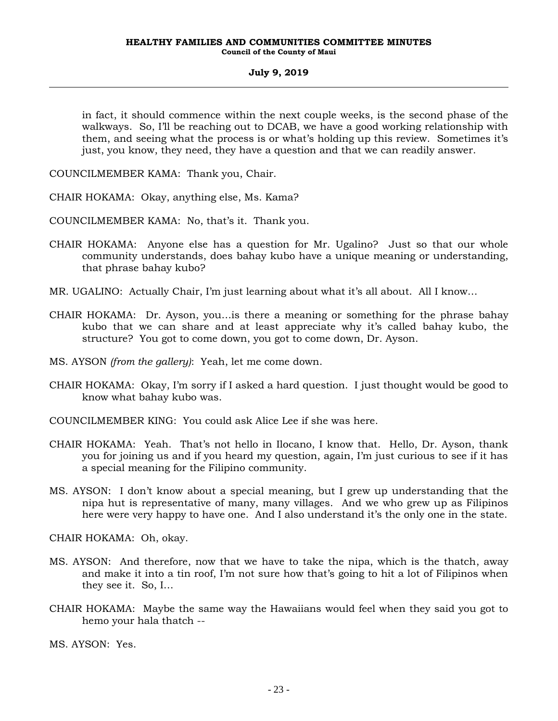in fact, it should commence within the next couple weeks, is the second phase of the walkways. So, I'll be reaching out to DCAB, we have a good working relationship with them, and seeing what the process is or what's holding up this review. Sometimes it's just, you know, they need, they have a question and that we can readily answer.

COUNCILMEMBER KAMA: Thank you, Chair.

CHAIR HOKAMA: Okay, anything else, Ms. Kama?

COUNCILMEMBER KAMA: No, that's it. Thank you.

- CHAIR HOKAMA: Anyone else has a question for Mr. Ugalino? Just so that our whole community understands, does bahay kubo have a unique meaning or understanding, that phrase bahay kubo?
- MR. UGALINO: Actually Chair, I'm just learning about what it's all about. All I know…
- CHAIR HOKAMA: Dr. Ayson, you…is there a meaning or something for the phrase bahay kubo that we can share and at least appreciate why it's called bahay kubo, the structure? You got to come down, you got to come down, Dr. Ayson.
- MS. AYSON *(from the gallery)*: Yeah, let me come down.
- CHAIR HOKAMA: Okay, I'm sorry if I asked a hard question. I just thought would be good to know what bahay kubo was.
- COUNCILMEMBER KING: You could ask Alice Lee if she was here.
- CHAIR HOKAMA: Yeah. That's not hello in Ilocano, I know that. Hello, Dr. Ayson, thank you for joining us and if you heard my question, again, I'm just curious to see if it has a special meaning for the Filipino community.
- MS. AYSON: I don't know about a special meaning, but I grew up understanding that the nipa hut is representative of many, many villages. And we who grew up as Filipinos here were very happy to have one. And I also understand it's the only one in the state.

CHAIR HOKAMA: Oh, okay.

- MS. AYSON: And therefore, now that we have to take the nipa, which is the thatch, away and make it into a tin roof, I'm not sure how that's going to hit a lot of Filipinos when they see it. So, I…
- CHAIR HOKAMA: Maybe the same way the Hawaiians would feel when they said you got to hemo your hala thatch --

MS. AYSON: Yes.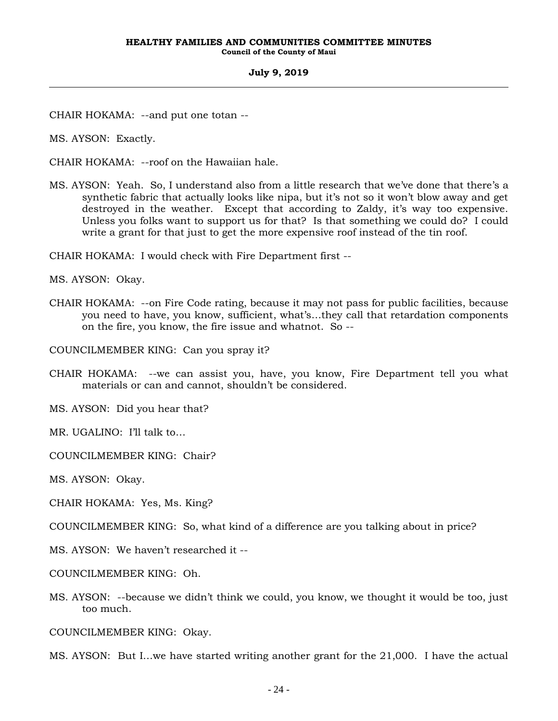CHAIR HOKAMA: --and put one totan --

MS. AYSON: Exactly.

CHAIR HOKAMA: --roof on the Hawaiian hale.

MS. AYSON: Yeah. So, I understand also from a little research that we've done that there's a synthetic fabric that actually looks like nipa, but it's not so it won't blow away and get destroyed in the weather. Except that according to Zaldy, it's way too expensive. Unless you folks want to support us for that? Is that something we could do? I could write a grant for that just to get the more expensive roof instead of the tin roof.

CHAIR HOKAMA: I would check with Fire Department first --

MS. AYSON: Okay.

CHAIR HOKAMA: --on Fire Code rating, because it may not pass for public facilities, because you need to have, you know, sufficient, what's…they call that retardation components on the fire, you know, the fire issue and whatnot. So --

COUNCILMEMBER KING: Can you spray it?

CHAIR HOKAMA: --we can assist you, have, you know, Fire Department tell you what materials or can and cannot, shouldn't be considered.

MS. AYSON: Did you hear that?

MR. UGALINO: I'll talk to...

COUNCILMEMBER KING: Chair?

MS. AYSON: Okay.

CHAIR HOKAMA: Yes, Ms. King?

COUNCILMEMBER KING: So, what kind of a difference are you talking about in price?

MS. AYSON: We haven't researched it --

COUNCILMEMBER KING: Oh.

MS. AYSON: --because we didn't think we could, you know, we thought it would be too, just too much.

COUNCILMEMBER KING: Okay.

MS. AYSON: But I…we have started writing another grant for the 21,000. I have the actual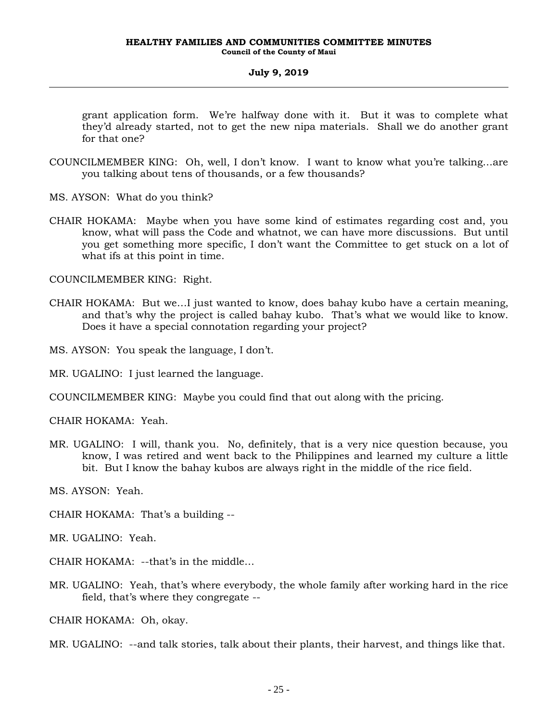grant application form. We're halfway done with it. But it was to complete what they'd already started, not to get the new nipa materials. Shall we do another grant for that one?

- COUNCILMEMBER KING: Oh, well, I don't know. I want to know what you're talking…are you talking about tens of thousands, or a few thousands?
- MS. AYSON: What do you think?
- CHAIR HOKAMA: Maybe when you have some kind of estimates regarding cost and, you know, what will pass the Code and whatnot, we can have more discussions. But until you get something more specific, I don't want the Committee to get stuck on a lot of what ifs at this point in time.

COUNCILMEMBER KING: Right.

CHAIR HOKAMA: But we…I just wanted to know, does bahay kubo have a certain meaning, and that's why the project is called bahay kubo. That's what we would like to know. Does it have a special connotation regarding your project?

MS. AYSON: You speak the language, I don't.

MR. UGALINO: I just learned the language.

COUNCILMEMBER KING: Maybe you could find that out along with the pricing.

CHAIR HOKAMA: Yeah.

MR. UGALINO: I will, thank you. No, definitely, that is a very nice question because, you know, I was retired and went back to the Philippines and learned my culture a little bit. But I know the bahay kubos are always right in the middle of the rice field.

MS. AYSON: Yeah.

CHAIR HOKAMA: That's a building --

MR. UGALINO: Yeah.

CHAIR HOKAMA: --that's in the middle…

MR. UGALINO: Yeah, that's where everybody, the whole family after working hard in the rice field, that's where they congregate --

CHAIR HOKAMA: Oh, okay.

MR. UGALINO: --and talk stories, talk about their plants, their harvest, and things like that.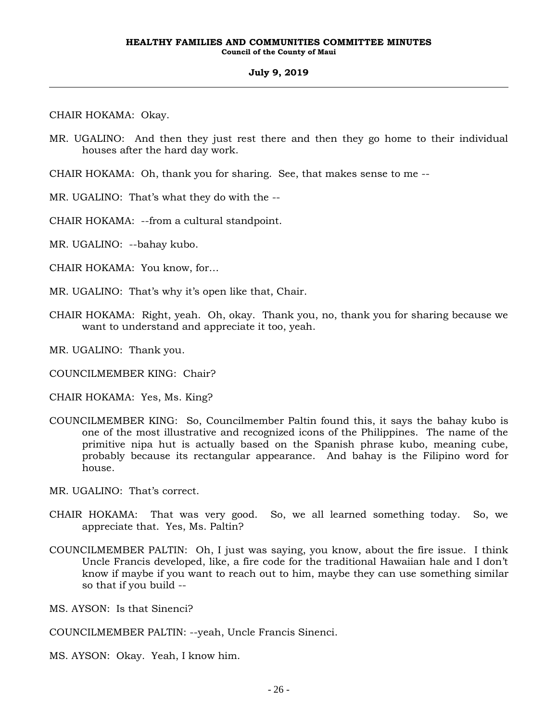CHAIR HOKAMA: Okay.

- MR. UGALINO: And then they just rest there and then they go home to their individual houses after the hard day work.
- CHAIR HOKAMA: Oh, thank you for sharing. See, that makes sense to me --
- MR. UGALINO: That's what they do with the --
- CHAIR HOKAMA: --from a cultural standpoint.
- MR. UGALINO: --bahay kubo.
- CHAIR HOKAMA: You know, for…
- MR. UGALINO: That's why it's open like that, Chair.
- CHAIR HOKAMA: Right, yeah. Oh, okay. Thank you, no, thank you for sharing because we want to understand and appreciate it too, yeah.
- MR. UGALINO: Thank you.
- COUNCILMEMBER KING: Chair?
- CHAIR HOKAMA: Yes, Ms. King?
- COUNCILMEMBER KING: So, Councilmember Paltin found this, it says the bahay kubo is one of the most illustrative and recognized icons of the Philippines. The name of the primitive nipa hut is actually based on the Spanish phrase kubo, meaning cube, probably because its rectangular appearance. And bahay is the Filipino word for house.
- MR. UGALINO: That's correct.
- CHAIR HOKAMA: That was very good. So, we all learned something today. So, we appreciate that. Yes, Ms. Paltin?
- COUNCILMEMBER PALTIN: Oh, I just was saying, you know, about the fire issue. I think Uncle Francis developed, like, a fire code for the traditional Hawaiian hale and I don't know if maybe if you want to reach out to him, maybe they can use something similar so that if you build --
- MS. AYSON: Is that Sinenci?
- COUNCILMEMBER PALTIN: --yeah, Uncle Francis Sinenci.
- MS. AYSON: Okay. Yeah, I know him.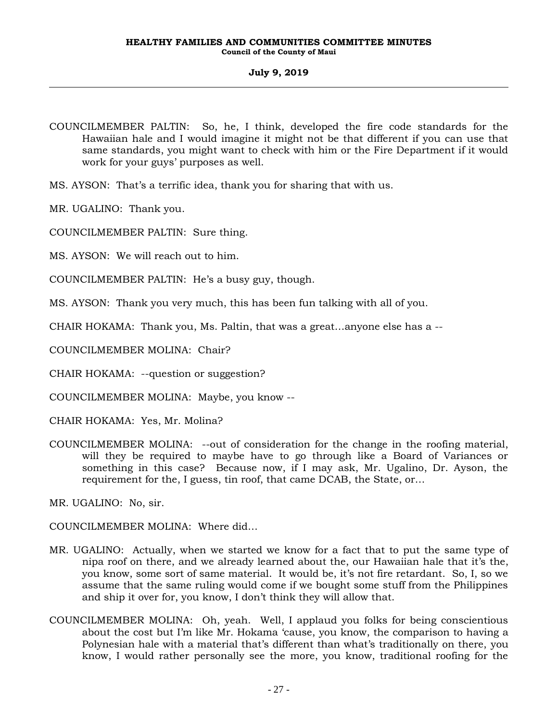COUNCILMEMBER PALTIN: So, he, I think, developed the fire code standards for the Hawaiian hale and I would imagine it might not be that different if you can use that same standards, you might want to check with him or the Fire Department if it would work for your guys' purposes as well.

MS. AYSON: That's a terrific idea, thank you for sharing that with us.

MR. UGALINO: Thank you.

COUNCILMEMBER PALTIN: Sure thing.

MS. AYSON: We will reach out to him.

COUNCILMEMBER PALTIN: He's a busy guy, though.

MS. AYSON: Thank you very much, this has been fun talking with all of you.

CHAIR HOKAMA: Thank you, Ms. Paltin, that was a great…anyone else has a --

COUNCILMEMBER MOLINA: Chair?

CHAIR HOKAMA: --question or suggestion?

COUNCILMEMBER MOLINA: Maybe, you know --

CHAIR HOKAMA: Yes, Mr. Molina?

COUNCILMEMBER MOLINA: --out of consideration for the change in the roofing material, will they be required to maybe have to go through like a Board of Variances or something in this case? Because now, if I may ask, Mr. Ugalino, Dr. Ayson, the requirement for the, I guess, tin roof, that came DCAB, the State, or…

MR. UGALINO: No, sir.

COUNCILMEMBER MOLINA: Where did…

- MR. UGALINO: Actually, when we started we know for a fact that to put the same type of nipa roof on there, and we already learned about the, our Hawaiian hale that it's the, you know, some sort of same material. It would be, it's not fire retardant. So, I, so we assume that the same ruling would come if we bought some stuff from the Philippines and ship it over for, you know, I don't think they will allow that.
- COUNCILMEMBER MOLINA: Oh, yeah. Well, I applaud you folks for being conscientious about the cost but I'm like Mr. Hokama 'cause, you know, the comparison to having a Polynesian hale with a material that's different than what's traditionally on there, you know, I would rather personally see the more, you know, traditional roofing for the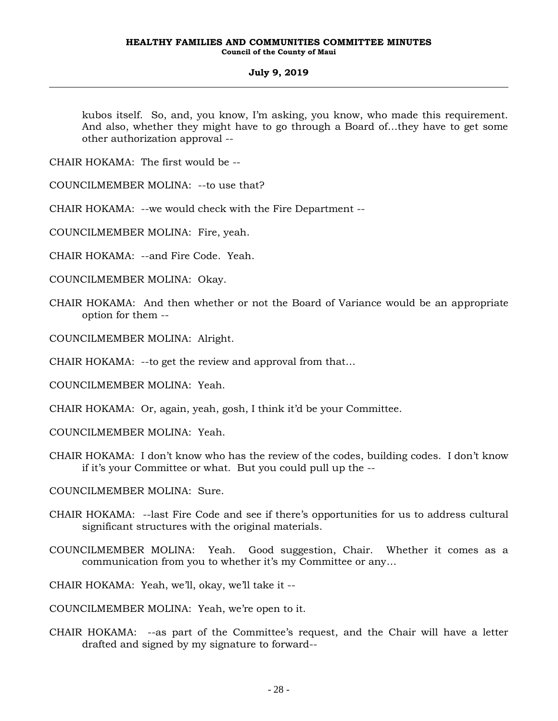kubos itself. So, and, you know, I'm asking, you know, who made this requirement. And also, whether they might have to go through a Board of…they have to get some other authorization approval --

CHAIR HOKAMA: The first would be --

COUNCILMEMBER MOLINA: --to use that?

CHAIR HOKAMA: --we would check with the Fire Department --

COUNCILMEMBER MOLINA: Fire, yeah.

CHAIR HOKAMA: --and Fire Code. Yeah.

COUNCILMEMBER MOLINA: Okay.

CHAIR HOKAMA: And then whether or not the Board of Variance would be an appropriate option for them --

COUNCILMEMBER MOLINA: Alright.

CHAIR HOKAMA: --to get the review and approval from that…

COUNCILMEMBER MOLINA: Yeah.

CHAIR HOKAMA: Or, again, yeah, gosh, I think it'd be your Committee.

COUNCILMEMBER MOLINA: Yeah.

CHAIR HOKAMA: I don't know who has the review of the codes, building codes. I don't know if it's your Committee or what. But you could pull up the --

COUNCILMEMBER MOLINA: Sure.

- CHAIR HOKAMA: --last Fire Code and see if there's opportunities for us to address cultural significant structures with the original materials.
- COUNCILMEMBER MOLINA: Yeah. Good suggestion, Chair. Whether it comes as a communication from you to whether it's my Committee or any…

CHAIR HOKAMA: Yeah, we'll, okay, we'll take it --

COUNCILMEMBER MOLINA: Yeah, we're open to it.

CHAIR HOKAMA: --as part of the Committee's request, and the Chair will have a letter drafted and signed by my signature to forward--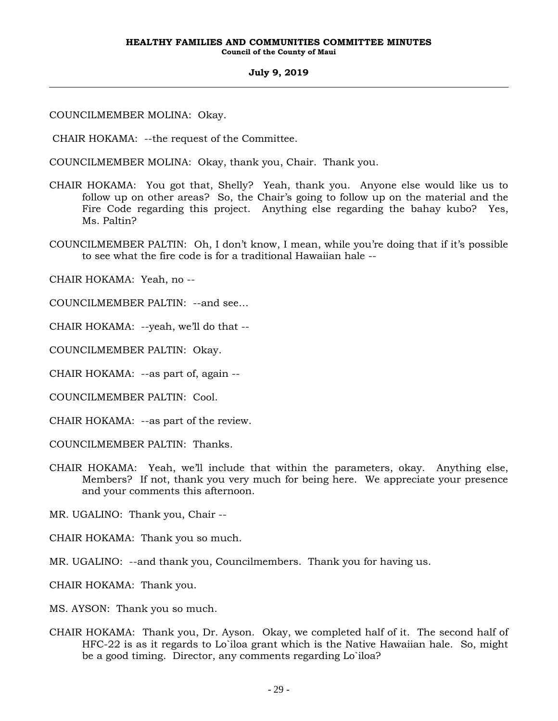COUNCILMEMBER MOLINA: Okay.

CHAIR HOKAMA: --the request of the Committee.

COUNCILMEMBER MOLINA: Okay, thank you, Chair. Thank you.

- CHAIR HOKAMA: You got that, Shelly? Yeah, thank you. Anyone else would like us to follow up on other areas? So, the Chair's going to follow up on the material and the Fire Code regarding this project. Anything else regarding the bahay kubo? Yes, Ms. Paltin?
- COUNCILMEMBER PALTIN: Oh, I don't know, I mean, while you're doing that if it's possible to see what the fire code is for a traditional Hawaiian hale --

CHAIR HOKAMA: Yeah, no --

COUNCILMEMBER PALTIN: --and see…

CHAIR HOKAMA: --yeah, we'll do that --

COUNCILMEMBER PALTIN: Okay.

CHAIR HOKAMA: --as part of, again --

COUNCILMEMBER PALTIN: Cool.

CHAIR HOKAMA: --as part of the review.

COUNCILMEMBER PALTIN: Thanks.

CHAIR HOKAMA: Yeah, we'll include that within the parameters, okay. Anything else, Members? If not, thank you very much for being here. We appreciate your presence and your comments this afternoon.

MR. UGALINO: Thank you, Chair --

CHAIR HOKAMA: Thank you so much.

MR. UGALINO: --and thank you, Councilmembers. Thank you for having us.

CHAIR HOKAMA: Thank you.

MS. AYSON: Thank you so much.

CHAIR HOKAMA: Thank you, Dr. Ayson. Okay, we completed half of it. The second half of HFC-22 is as it regards to Lo`iloa grant which is the Native Hawaiian hale. So, might be a good timing. Director, any comments regarding Lo`iloa?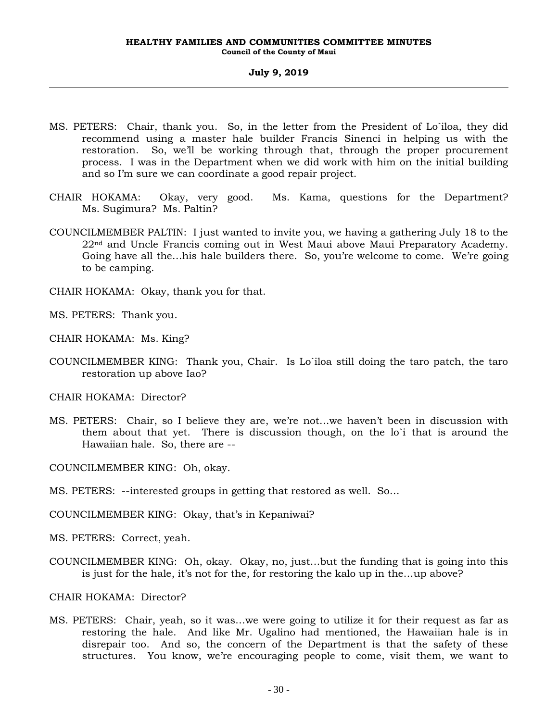- MS. PETERS: Chair, thank you. So, in the letter from the President of Lo`iloa, they did recommend using a master hale builder Francis Sinenci in helping us with the restoration. So, we'll be working through that, through the proper procurement process. I was in the Department when we did work with him on the initial building and so I'm sure we can coordinate a good repair project.
- CHAIR HOKAMA: Okay, very good. Ms. Kama, questions for the Department? Ms. Sugimura? Ms. Paltin?
- COUNCILMEMBER PALTIN: I just wanted to invite you, we having a gathering July 18 to the 22nd and Uncle Francis coming out in West Maui above Maui Preparatory Academy. Going have all the…his hale builders there. So, you're welcome to come. We're going to be camping.
- CHAIR HOKAMA: Okay, thank you for that.

MS. PETERS: Thank you.

- CHAIR HOKAMA: Ms. King?
- COUNCILMEMBER KING: Thank you, Chair. Is Lo`iloa still doing the taro patch, the taro restoration up above Iao?

CHAIR HOKAMA: Director?

MS. PETERS: Chair, so I believe they are, we're not…we haven't been in discussion with them about that yet. There is discussion though, on the lo`i that is around the Hawaiian hale. So, there are --

COUNCILMEMBER KING: Oh, okay.

MS. PETERS: --interested groups in getting that restored as well. So…

COUNCILMEMBER KING: Okay, that's in Kepaniwai?

MS. PETERS: Correct, yeah.

COUNCILMEMBER KING: Oh, okay. Okay, no, just…but the funding that is going into this is just for the hale, it's not for the, for restoring the kalo up in the…up above?

CHAIR HOKAMA: Director?

MS. PETERS: Chair, yeah, so it was…we were going to utilize it for their request as far as restoring the hale. And like Mr. Ugalino had mentioned, the Hawaiian hale is in disrepair too. And so, the concern of the Department is that the safety of these structures. You know, we're encouraging people to come, visit them, we want to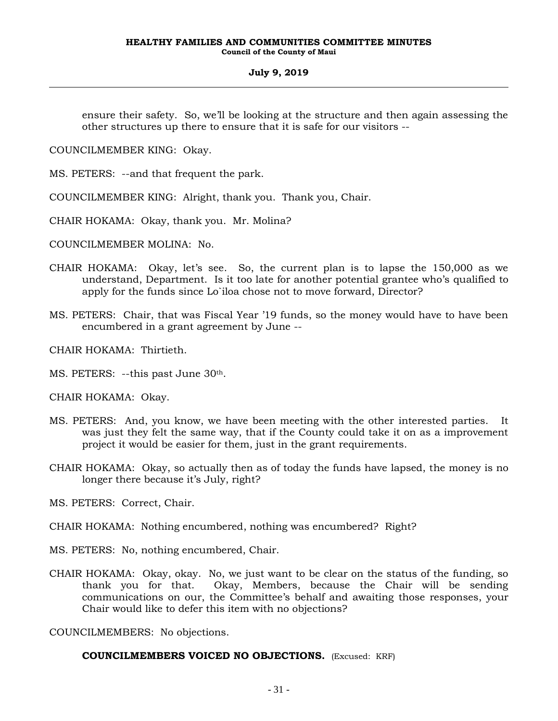ensure their safety. So, we'll be looking at the structure and then again assessing the other structures up there to ensure that it is safe for our visitors --

COUNCILMEMBER KING: Okay.

MS. PETERS: --and that frequent the park.

COUNCILMEMBER KING: Alright, thank you. Thank you, Chair.

CHAIR HOKAMA: Okay, thank you. Mr. Molina?

COUNCILMEMBER MOLINA: No.

- CHAIR HOKAMA: Okay, let's see. So, the current plan is to lapse the 150,000 as we understand, Department. Is it too late for another potential grantee who's qualified to apply for the funds since Lo`iloa chose not to move forward, Director?
- MS. PETERS: Chair, that was Fiscal Year '19 funds, so the money would have to have been encumbered in a grant agreement by June --

CHAIR HOKAMA: Thirtieth.

MS. PETERS: --this past June 30th.

CHAIR HOKAMA: Okay.

- MS. PETERS: And, you know, we have been meeting with the other interested parties. It was just they felt the same way, that if the County could take it on as a improvement project it would be easier for them, just in the grant requirements.
- CHAIR HOKAMA: Okay, so actually then as of today the funds have lapsed, the money is no longer there because it's July, right?

MS. PETERS: Correct, Chair.

CHAIR HOKAMA: Nothing encumbered, nothing was encumbered? Right?

MS. PETERS: No, nothing encumbered, Chair.

CHAIR HOKAMA: Okay, okay. No, we just want to be clear on the status of the funding, so thank you for that. Okay, Members, because the Chair will be sending communications on our, the Committee's behalf and awaiting those responses, your Chair would like to defer this item with no objections?

COUNCILMEMBERS: No objections.

#### **COUNCILMEMBERS VOICED NO OBJECTIONS.** (Excused: KRF)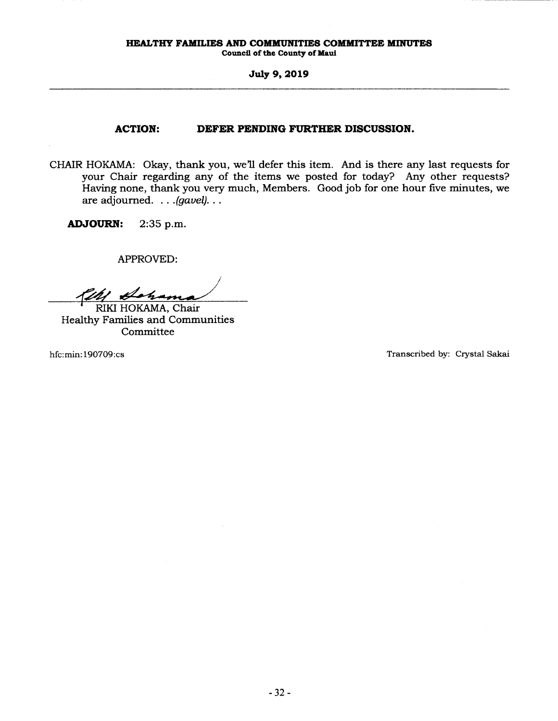**Council of the County of Maul** 

#### **July 9, 2019**

# **ACTION: DEFER PENDING FURTHER DISCUSSION.**

CHAIR HOKAMA: Okay, thank you, we'll defer this item. And is there any last requests for your Chair regarding any of the items we posted for today? Any other requests? Having none, thank you very much, Members. Good job for one hour five minutes, we are adjourned. . . *. (gavel).* . .

**ADJOURN:** 2:35 p.m.

APPROVED:

The Column RIKI HOKAMA, Chair<br>Healthy Families and Communities Committee

hfc:min: 190709:cs Transcribed by: Crystal Sakai